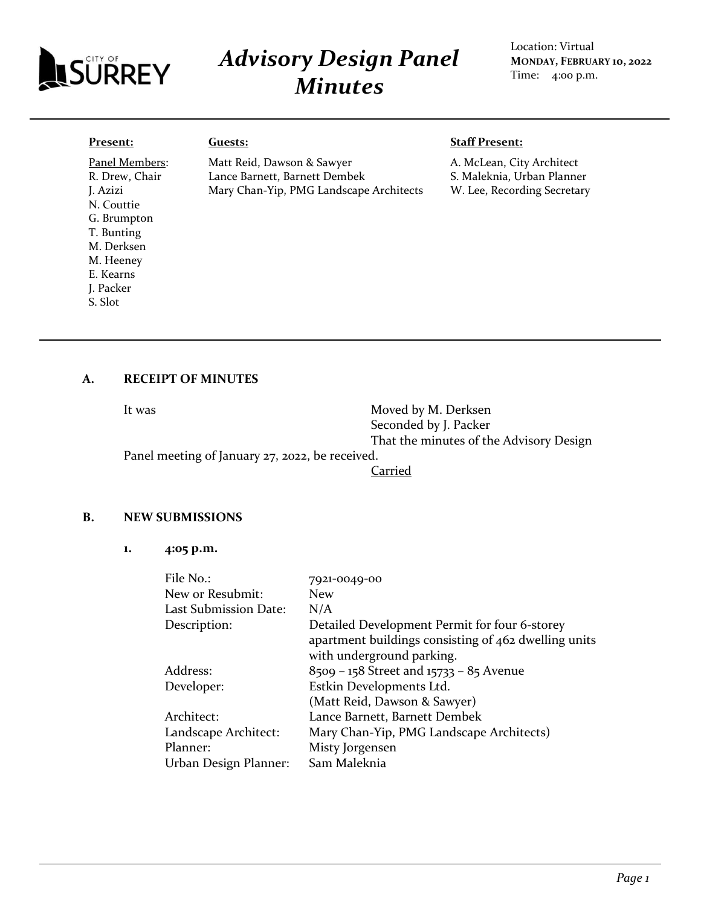

# *Advisory Design Panel Minutes*

Location: Virtual **MONDAY, FEBRUARY 10, 2022** Time: 4:00 p.m.

#### **Present:**

J. Azizi N. Couttie G. Brumpton T. Bunting M. Derksen M. Heeney E. Kearns J. Packer S. Slot

Panel Members: R. Drew, Chair

#### **Guests:**

Matt Reid, Dawson & Sawyer Lance Barnett, Barnett Dembek Mary Chan-Yip, PMG Landscape Architects

#### **Staff Present:**

A. McLean, City Architect S. Maleknia, Urban Planner W. Lee, Recording Secretary

### **A. RECEIPT OF MINUTES**

It was Moved by M. Derksen Seconded by J. Packer That the minutes of the Advisory Design

Panel meeting of January 27, 2022, be received.

Carried

#### **B. NEW SUBMISSIONS**

**1. 4:05 p.m.**

| File No.:                    | 7921-0049-00                                         |
|------------------------------|------------------------------------------------------|
| New or Resubmit:             | <b>New</b>                                           |
| <b>Last Submission Date:</b> | N/A                                                  |
| Description:                 | Detailed Development Permit for four 6-storey        |
|                              | apartment buildings consisting of 462 dwelling units |
|                              | with underground parking.                            |
| Address:                     | 8509 – 158 Street and 15733 – 85 Avenue              |
| Developer:                   | Estkin Developments Ltd.                             |
|                              | (Matt Reid, Dawson & Sawyer)                         |
| Architect:                   | Lance Barnett, Barnett Dembek                        |
| Landscape Architect:         | Mary Chan-Yip, PMG Landscape Architects)             |
| Planner:                     | Misty Jorgensen                                      |
| Urban Design Planner:        | Sam Maleknia                                         |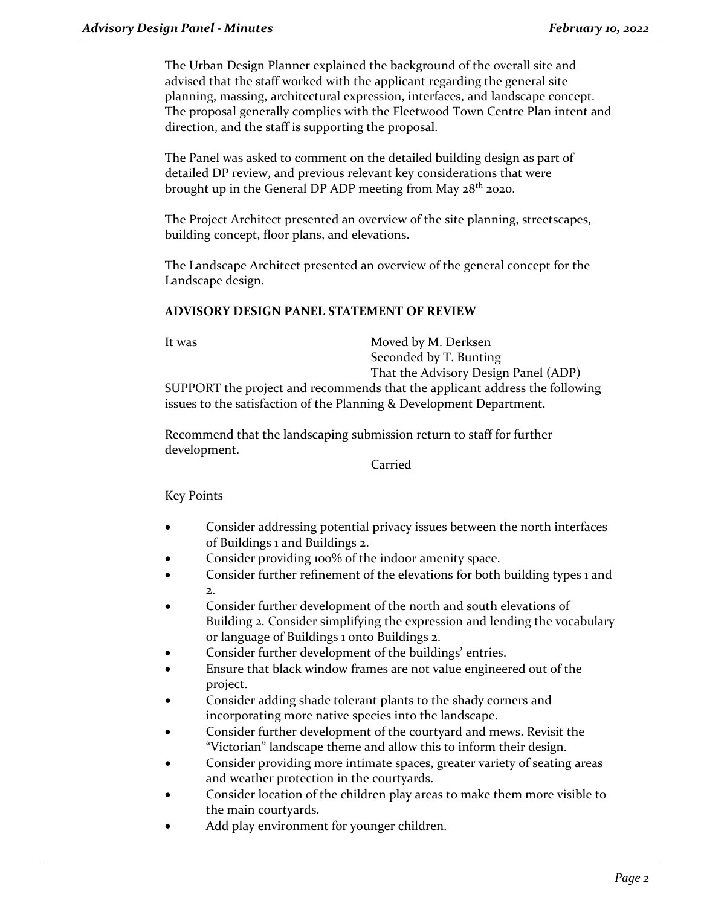The Urban Design Planner explained the background of the overall site and advised that the staff worked with the applicant regarding the general site planning, massing, architectural expression, interfaces, and landscape concept. The proposal generally complies with the Fleetwood Town Centre Plan intent and direction, and the staff is supporting the proposal.

The Panel was asked to comment on the detailed building design as part of detailed DP review, and previous relevant key considerations that were brought up in the General DP ADP meeting from May 28<sup>th</sup> 2020.

The Project Architect presented an overview of the site planning, streetscapes, building concept, floor plans, and elevations.

The Landscape Architect presented an overview of the general concept for the Landscape design.

## **ADVISORY DESIGN PANEL STATEMENT OF REVIEW**

It was Moved by M. Derksen Seconded by T. Bunting That the Advisory Design Panel (ADP)

SUPPORT the project and recommends that the applicant address the following issues to the satisfaction of the Planning & Development Department.

Recommend that the landscaping submission return to staff for further development.

## Carried

Key Points

- Consider addressing potential privacy issues between the north interfaces of Buildings 1 and Buildings 2.
- Consider providing 100% of the indoor amenity space.
- Consider further refinement of the elevations for both building types 1 and 2.
- Consider further development of the north and south elevations of Building 2. Consider simplifying the expression and lending the vocabulary or language of Buildings 1 onto Buildings 2.
- Consider further development of the buildings' entries.
- Ensure that black window frames are not value engineered out of the project.
- Consider adding shade tolerant plants to the shady corners and incorporating more native species into the landscape.
- Consider further development of the courtyard and mews. Revisit the "Victorian" landscape theme and allow this to inform their design.
- Consider providing more intimate spaces, greater variety of seating areas and weather protection in the courtyards.
- Consider location of the children play areas to make them more visible to the main courtyards.
- Add play environment for younger children.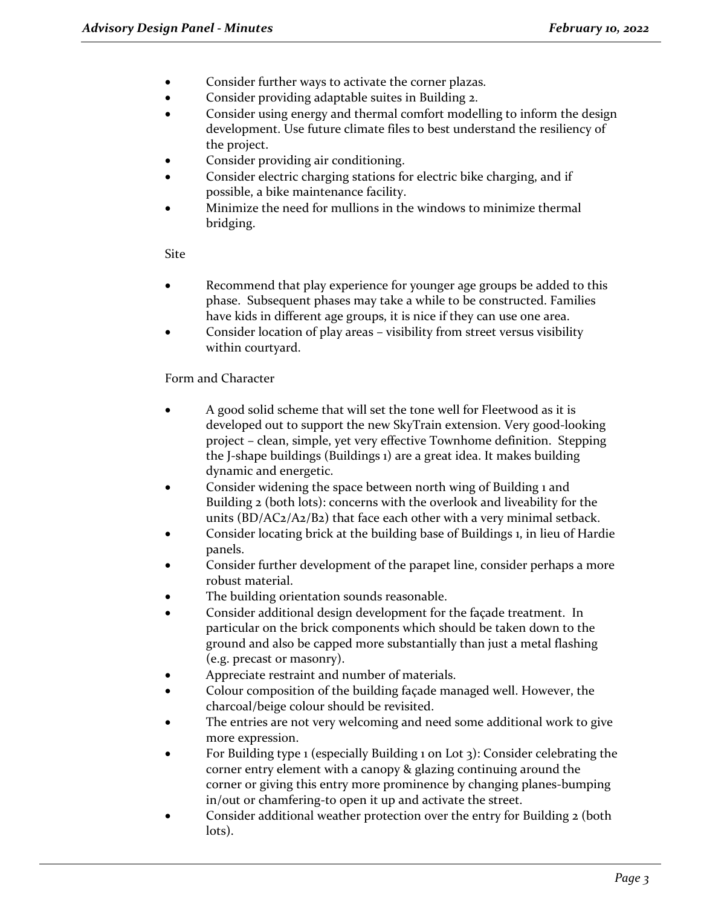- Consider further ways to activate the corner plazas.
- Consider providing adaptable suites in Building 2.
- Consider using energy and thermal comfort modelling to inform the design development. Use future climate files to best understand the resiliency of the project.
- Consider providing air conditioning.
- Consider electric charging stations for electric bike charging, and if possible, a bike maintenance facility.
- Minimize the need for mullions in the windows to minimize thermal bridging.

Site

- Recommend that play experience for younger age groups be added to this phase. Subsequent phases may take a while to be constructed. Families have kids in different age groups, it is nice if they can use one area.
- Consider location of play areas visibility from street versus visibility within courtyard.

Form and Character

- A good solid scheme that will set the tone well for Fleetwood as it is developed out to support the new SkyTrain extension. Very good-looking project – clean, simple, yet very effective Townhome definition. Stepping the J-shape buildings (Buildings 1) are a great idea. It makes building dynamic and energetic.
- Consider widening the space between north wing of Building 1 and Building 2 (both lots): concerns with the overlook and liveability for the units (BD/AC2/A2/B2) that face each other with a very minimal setback.
- Consider locating brick at the building base of Buildings 1, in lieu of Hardie panels.
- Consider further development of the parapet line, consider perhaps a more robust material.
- The building orientation sounds reasonable.
- Consider additional design development for the façade treatment. In particular on the brick components which should be taken down to the ground and also be capped more substantially than just a metal flashing (e.g. precast or masonry).
- Appreciate restraint and number of materials.
- Colour composition of the building façade managed well. However, the charcoal/beige colour should be revisited.
- The entries are not very welcoming and need some additional work to give more expression.
- For Building type 1 (especially Building 1 on Lot 3): Consider celebrating the corner entry element with a canopy & glazing continuing around the corner or giving this entry more prominence by changing planes-bumping in/out or chamfering-to open it up and activate the street.
- Consider additional weather protection over the entry for Building 2 (both lots).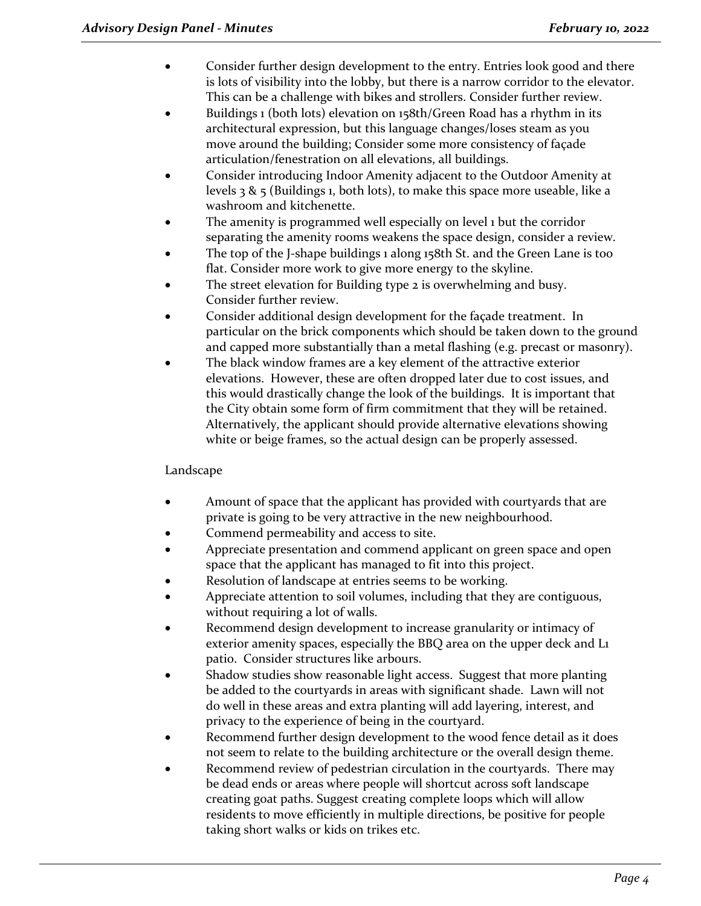- Consider further design development to the entry. Entries look good and there is lots of visibility into the lobby, but there is a narrow corridor to the elevator. This can be a challenge with bikes and strollers. Consider further review.
- Buildings 1 (both lots) elevation on 158th/Green Road has a rhythm in its architectural expression, but this language changes/loses steam as you move around the building; Consider some more consistency of façade articulation/fenestration on all elevations, all buildings.
- Consider introducing Indoor Amenity adjacent to the Outdoor Amenity at levels  $3 \& 5$  (Buildings 1, both lots), to make this space more useable, like a washroom and kitchenette.
- The amenity is programmed well especially on level 1 but the corridor separating the amenity rooms weakens the space design, consider a review.
- The top of the J-shape buildings 1 along 158th St. and the Green Lane is too flat. Consider more work to give more energy to the skyline.
- The street elevation for Building type 2 is overwhelming and busy. Consider further review.
- Consider additional design development for the façade treatment. In particular on the brick components which should be taken down to the ground and capped more substantially than a metal flashing (e.g. precast or masonry).
- The black window frames are a key element of the attractive exterior elevations. However, these are often dropped later due to cost issues, and this would drastically change the look of the buildings. It is important that the City obtain some form of firm commitment that they will be retained. Alternatively, the applicant should provide alternative elevations showing white or beige frames, so the actual design can be properly assessed.

# Landscape

- Amount of space that the applicant has provided with courtyards that are private is going to be very attractive in the new neighbourhood.
- Commend permeability and access to site.
- Appreciate presentation and commend applicant on green space and open space that the applicant has managed to fit into this project.
- Resolution of landscape at entries seems to be working.
- Appreciate attention to soil volumes, including that they are contiguous, without requiring a lot of walls.
- Recommend design development to increase granularity or intimacy of exterior amenity spaces, especially the BBQ area on the upper deck and L1 patio. Consider structures like arbours.
- Shadow studies show reasonable light access. Suggest that more planting be added to the courtyards in areas with significant shade. Lawn will not do well in these areas and extra planting will add layering, interest, and privacy to the experience of being in the courtyard.
- Recommend further design development to the wood fence detail as it does not seem to relate to the building architecture or the overall design theme.
- Recommend review of pedestrian circulation in the courtyards. There may be dead ends or areas where people will shortcut across soft landscape creating goat paths. Suggest creating complete loops which will allow residents to move efficiently in multiple directions, be positive for people taking short walks or kids on trikes etc.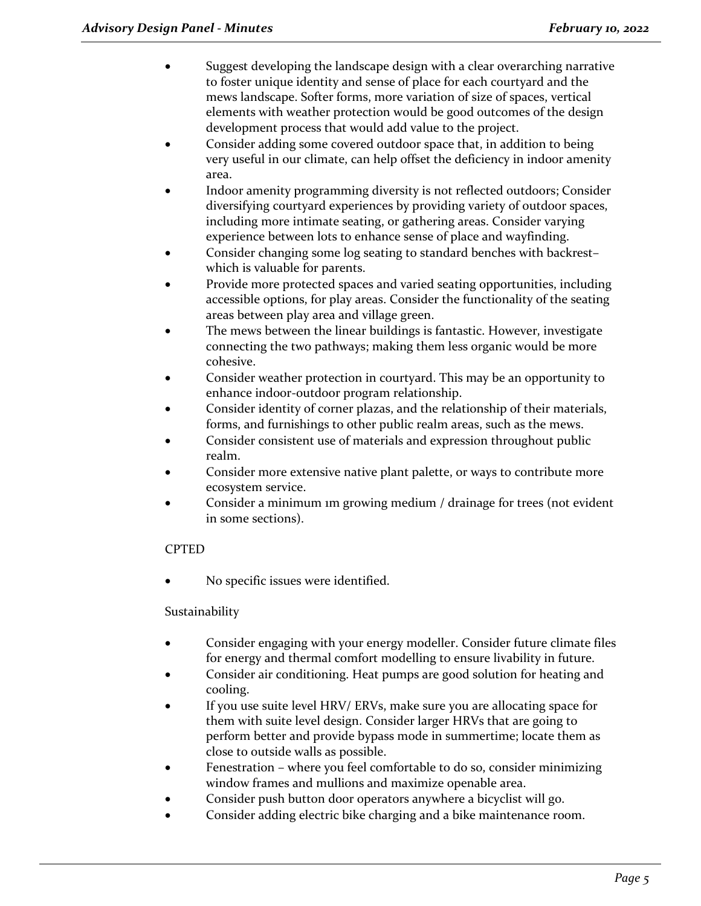- Suggest developing the landscape design with a clear overarching narrative to foster unique identity and sense of place for each courtyard and the mews landscape. Softer forms, more variation of size of spaces, vertical elements with weather protection would be good outcomes of the design development process that would add value to the project.
- Consider adding some covered outdoor space that, in addition to being very useful in our climate, can help offset the deficiency in indoor amenity area.
- Indoor amenity programming diversity is not reflected outdoors; Consider diversifying courtyard experiences by providing variety of outdoor spaces, including more intimate seating, or gathering areas. Consider varying experience between lots to enhance sense of place and wayfinding.
- Consider changing some log seating to standard benches with backrest– which is valuable for parents.
- Provide more protected spaces and varied seating opportunities, including accessible options, for play areas. Consider the functionality of the seating areas between play area and village green.
- The mews between the linear buildings is fantastic. However, investigate connecting the two pathways; making them less organic would be more cohesive.
- Consider weather protection in courtyard. This may be an opportunity to enhance indoor-outdoor program relationship.
- Consider identity of corner plazas, and the relationship of their materials, forms, and furnishings to other public realm areas, such as the mews.
- Consider consistent use of materials and expression throughout public realm.
- Consider more extensive native plant palette, or ways to contribute more ecosystem service.
- Consider a minimum 1m growing medium / drainage for trees (not evident in some sections).

# CPTED

No specific issues were identified.

# Sustainability

- Consider engaging with your energy modeller. Consider future climate files for energy and thermal comfort modelling to ensure livability in future.
- Consider air conditioning. Heat pumps are good solution for heating and cooling.
- If you use suite level HRV/ ERVs, make sure you are allocating space for them with suite level design. Consider larger HRVs that are going to perform better and provide bypass mode in summertime; locate them as close to outside walls as possible.
- Fenestration where you feel comfortable to do so, consider minimizing window frames and mullions and maximize openable area.
- Consider push button door operators anywhere a bicyclist will go.
- Consider adding electric bike charging and a bike maintenance room.